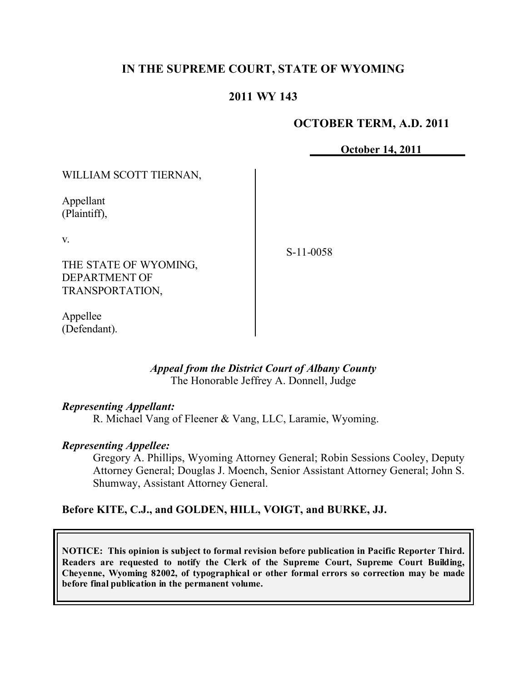# **IN THE SUPREME COURT, STATE OF WYOMING**

# **2011 WY 143**

## **OCTOBER TERM, A.D. 2011**

**October 14, 2011**

WILLIAM SCOTT TIERNAN,

Appellant (Plaintiff),

v.

THE STATE OF WYOMING, DEPARTMENT OF TRANSPORTATION,

S-11-0058

Appellee (Defendant).

## *Appeal from the District Court of Albany County* The Honorable Jeffrey A. Donnell, Judge

## *Representing Appellant:*

R. Michael Vang of Fleener & Vang, LLC, Laramie, Wyoming.

## *Representing Appellee:*

Gregory A. Phillips, Wyoming Attorney General; Robin Sessions Cooley, Deputy Attorney General; Douglas J. Moench, Senior Assistant Attorney General; John S. Shumway, Assistant Attorney General.

# **Before KITE, C.J., and GOLDEN, HILL, VOIGT, and BURKE, JJ.**

**NOTICE: This opinion is subject to formal revision before publication in Pacific Reporter Third. Readers are requested to notify the Clerk of the Supreme Court, Supreme Court Building, Cheyenne, Wyoming 82002, of typographical or other formal errors so correction may be made before final publication in the permanent volume.**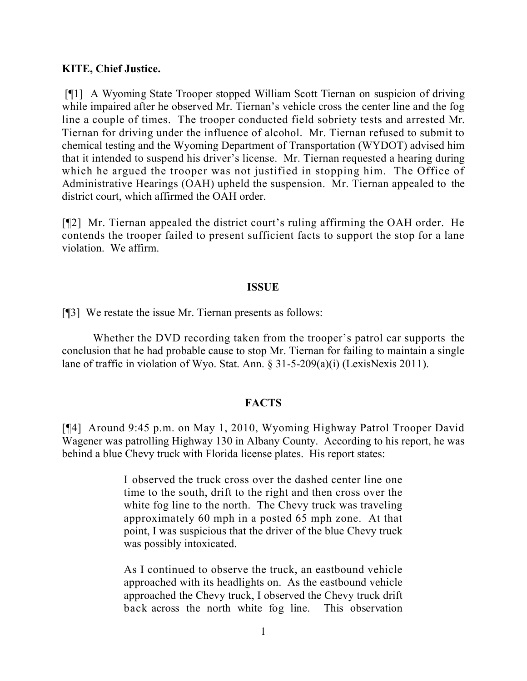### **KITE, Chief Justice.**

[¶1] A Wyoming State Trooper stopped William Scott Tiernan on suspicion of driving while impaired after he observed Mr. Tiernan's vehicle cross the center line and the fog line a couple of times. The trooper conducted field sobriety tests and arrested Mr. Tiernan for driving under the influence of alcohol. Mr. Tiernan refused to submit to chemical testing and the Wyoming Department of Transportation (WYDOT) advised him that it intended to suspend his driver's license. Mr. Tiernan requested a hearing during which he argued the trooper was not justified in stopping him. The Office of Administrative Hearings (OAH) upheld the suspension. Mr. Tiernan appealed to the district court, which affirmed the OAH order.

[¶2] Mr. Tiernan appealed the district court's ruling affirming the OAH order. He contends the trooper failed to present sufficient facts to support the stop for a lane violation. We affirm.

### **ISSUE**

[¶3] We restate the issue Mr. Tiernan presents as follows:

Whether the DVD recording taken from the trooper's patrol car supports the conclusion that he had probable cause to stop Mr. Tiernan for failing to maintain a single lane of traffic in violation of Wyo. Stat. Ann. § 31-5-209(a)(i) (LexisNexis 2011).

### **FACTS**

[¶4] Around 9:45 p.m. on May 1, 2010, Wyoming Highway Patrol Trooper David Wagener was patrolling Highway 130 in Albany County. According to his report, he was behind a blue Chevy truck with Florida license plates. His report states:

> I observed the truck cross over the dashed center line one time to the south, drift to the right and then cross over the white fog line to the north. The Chevy truck was traveling approximately 60 mph in a posted 65 mph zone. At that point, I was suspicious that the driver of the blue Chevy truck was possibly intoxicated.

> As I continued to observe the truck, an eastbound vehicle approached with its headlights on. As the eastbound vehicle approached the Chevy truck, I observed the Chevy truck drift back across the north white fog line. This observation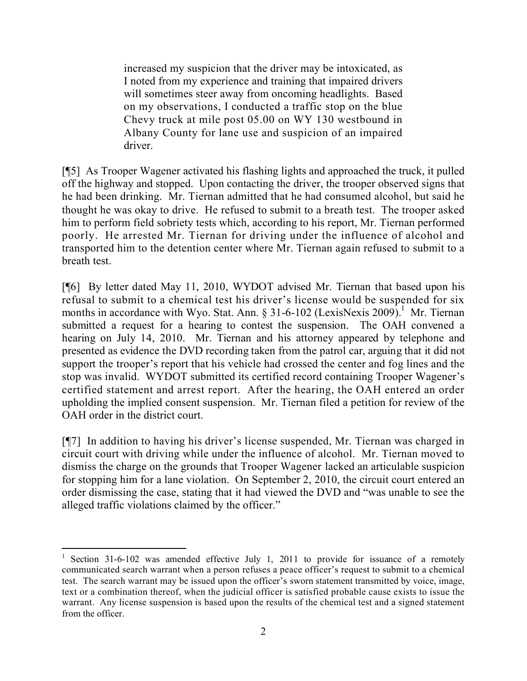increased my suspicion that the driver may be intoxicated, as I noted from my experience and training that impaired drivers will sometimes steer away from oncoming headlights. Based on my observations, I conducted a traffic stop on the blue Chevy truck at mile post 05.00 on WY 130 westbound in Albany County for lane use and suspicion of an impaired driver.

[¶5] As Trooper Wagener activated his flashing lights and approached the truck, it pulled off the highway and stopped. Upon contacting the driver, the trooper observed signs that he had been drinking. Mr. Tiernan admitted that he had consumed alcohol, but said he thought he was okay to drive. He refused to submit to a breath test. The trooper asked him to perform field sobriety tests which, according to his report, Mr. Tiernan performed poorly. He arrested Mr. Tiernan for driving under the influence of alcohol and transported him to the detention center where Mr. Tiernan again refused to submit to a breath test.

[¶6] By letter dated May 11, 2010, WYDOT advised Mr. Tiernan that based upon his refusal to submit to a chemical test his driver's license would be suspended for six months in accordance with Wyo. Stat. Ann.  $\S 31-6-102$  (LexisNexis 2009).<sup>1</sup> Mr. Tiernan submitted a request for a hearing to contest the suspension. The OAH convened a hearing on July 14, 2010. Mr. Tiernan and his attorney appeared by telephone and presented as evidence the DVD recording taken from the patrol car, arguing that it did not support the trooper's report that his vehicle had crossed the center and fog lines and the stop was invalid. WYDOT submitted its certified record containing Trooper Wagener's certified statement and arrest report. After the hearing, the OAH entered an order upholding the implied consent suspension. Mr. Tiernan filed a petition for review of the OAH order in the district court.

[¶7] In addition to having his driver's license suspended, Mr. Tiernan was charged in circuit court with driving while under the influence of alcohol. Mr. Tiernan moved to dismiss the charge on the grounds that Trooper Wagener lacked an articulable suspicion for stopping him for a lane violation. On September 2, 2010, the circuit court entered an order dismissing the case, stating that it had viewed the DVD and "was unable to see the alleged traffic violations claimed by the officer."

<sup>&</sup>lt;sup>1</sup> Section 31-6-102 was amended effective July 1, 2011 to provide for issuance of a remotely communicated search warrant when a person refuses a peace officer's request to submit to a chemical test. The search warrant may be issued upon the officer's sworn statement transmitted by voice, image, text or a combination thereof, when the judicial officer is satisfied probable cause exists to issue the warrant. Any license suspension is based upon the results of the chemical test and a signed statement from the officer.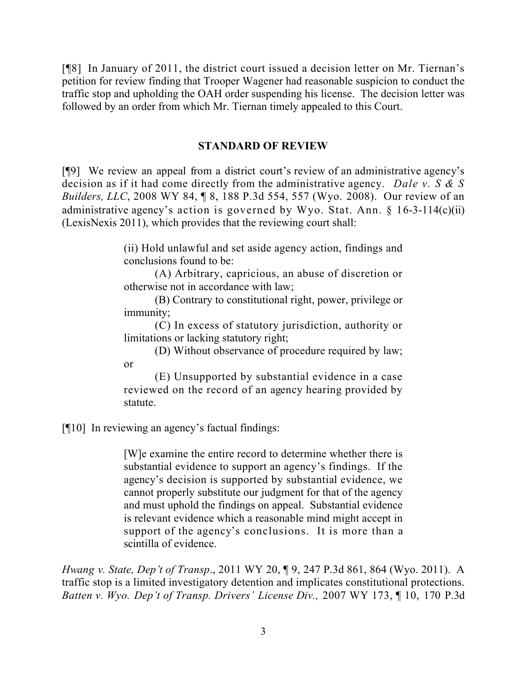[¶8] In January of 2011, the district court issued a decision letter on Mr. Tiernan's petition for review finding that Trooper Wagener had reasonable suspicion to conduct the traffic stop and upholding the OAH order suspending his license. The decision letter was followed by an order from which Mr. Tiernan timely appealed to this Court.

# **STANDARD OF REVIEW**

[¶9] We review an appeal from a district court's review of an administrative agency's decision as if it had come directly from the administrative agency. *Dale v. S & S Builders, LLC*, 2008 WY 84, ¶ 8, 188 P.3d 554, 557 (Wyo. 2008). Our review of an administrative agency's action is governed by Wyo. Stat. Ann.  $\S$  16-3-114(c)(ii) (LexisNexis 2011), which provides that the reviewing court shall:

> (ii) Hold unlawful and set aside agency action, findings and conclusions found to be:

> (A) Arbitrary, capricious, an abuse of discretion or otherwise not in accordance with law;

> (B) Contrary to constitutional right, power, privilege or immunity;

> (C) In excess of statutory jurisdiction, authority or limitations or lacking statutory right;

> (D) Without observance of procedure required by law; or

> (E) Unsupported by substantial evidence in a case reviewed on the record of an agency hearing provided by statute.

[¶10] In reviewing an agency's factual findings:

[W]e examine the entire record to determine whether there is substantial evidence to support an agency's findings. If the agency's decision is supported by substantial evidence, we cannot properly substitute our judgment for that of the agency and must uphold the findings on appeal. Substantial evidence is relevant evidence which a reasonable mind might accept in support of the agency's conclusions. It is more than a scintilla of evidence.

*Hwang v. State, Dep't of Transp*., 2011 WY 20, ¶ 9, 247 P.3d 861, 864 (Wyo. 2011). A traffic stop is a limited investigatory detention and implicates constitutional protections. *Batten v. Wyo. Dep't of Transp. Drivers' License Div.,* 2007 WY 173, ¶ 10, 170 P.3d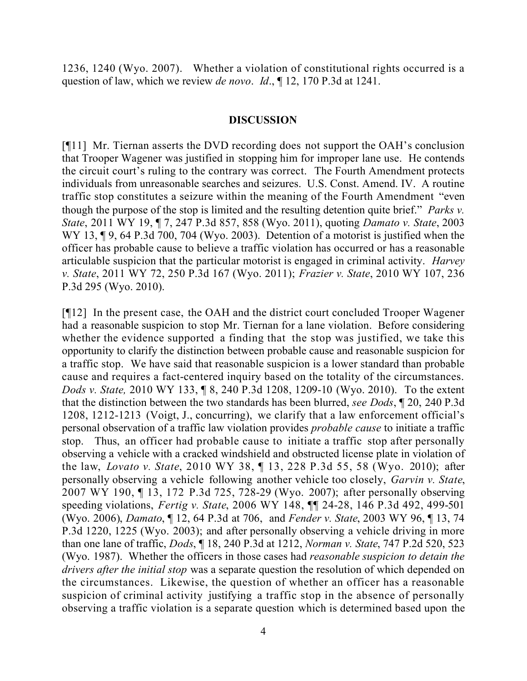1236, 1240 (Wyo. 2007). Whether a violation of constitutional rights occurred is a question of law, which we review *de novo*. *Id*., ¶ 12, 170 P.3d at 1241.

### **DISCUSSION**

[¶11] Mr. Tiernan asserts the DVD recording does not support the OAH's conclusion that Trooper Wagener was justified in stopping him for improper lane use. He contends the circuit court's ruling to the contrary was correct. The Fourth Amendment protects individuals from unreasonable searches and seizures. U.S. Const. Amend. IV. A routine traffic stop constitutes a seizure within the meaning of the Fourth Amendment "even though the purpose of the stop is limited and the resulting detention quite brief." *Parks v. State*, 2011 WY 19, ¶ 7, 247 P.3d 857, 858 (Wyo. 2011), quoting *Damato v. State*, 2003 WY 13, ¶ 9, 64 P.3d 700, 704 (Wyo. 2003). Detention of a motorist is justified when the officer has probable cause to believe a traffic violation has occurred or has a reasonable articulable suspicion that the particular motorist is engaged in criminal activity. *Harvey v. State*, 2011 WY 72, 250 P.3d 167 (Wyo. 2011); *Frazier v. State*, 2010 WY 107, 236 P.3d 295 (Wyo. 2010).

[¶12] In the present case, the OAH and the district court concluded Trooper Wagener had a reasonable suspicion to stop Mr. Tiernan for a lane violation. Before considering whether the evidence supported a finding that the stop was justified, we take this opportunity to clarify the distinction between probable cause and reasonable suspicion for a traffic stop. We have said that reasonable suspicion is a lower standard than probable cause and requires a fact-centered inquiry based on the totality of the circumstances. *Dods v. State,* 2010 WY 133, ¶ 8, 240 P.3d 1208, 1209-10 (Wyo. 2010). To the extent that the distinction between the two standards has been blurred, *see Dods*, ¶ 20, 240 P.3d 1208, 1212-1213 (Voigt, J., concurring), we clarify that a law enforcement official's personal observation of a traffic law violation provides *probable cause* to initiate a traffic stop. Thus, an officer had probable cause to initiate a traffic stop after personally observing a vehicle with a cracked windshield and obstructed license plate in violation of the law, *Lovato v. State*, 2010 WY 38, ¶ 13, 228 P.3d 55, 58 (Wyo. 2010); after personally observing a vehicle following another vehicle too closely, *Garvin v. State*, 2007 WY 190, ¶ 13, 172 P.3d 725, 728-29 (Wyo. 2007); after personally observing speeding violations, *Fertig v. State*, 2006 WY 148, ¶¶ 24-28, 146 P.3d 492, 499-501 (Wyo. 2006), *Damato*, ¶ 12, 64 P.3d at 706, and *Fender v. State*, 2003 WY 96, ¶ 13, 74 P.3d 1220, 1225 (Wyo. 2003); and after personally observing a vehicle driving in more than one lane of traffic, *Dods*, ¶ 18, 240 P.3d at 1212, *Norman v. State*, 747 P.2d 520, 523 (Wyo. 1987). Whether the officers in those cases had *reasonable suspicion to detain the drivers after the initial stop* was a separate question the resolution of which depended on the circumstances. Likewise, the question of whether an officer has a reasonable suspicion of criminal activity justifying a traffic stop in the absence of personally observing a traffic violation is a separate question which is determined based upon the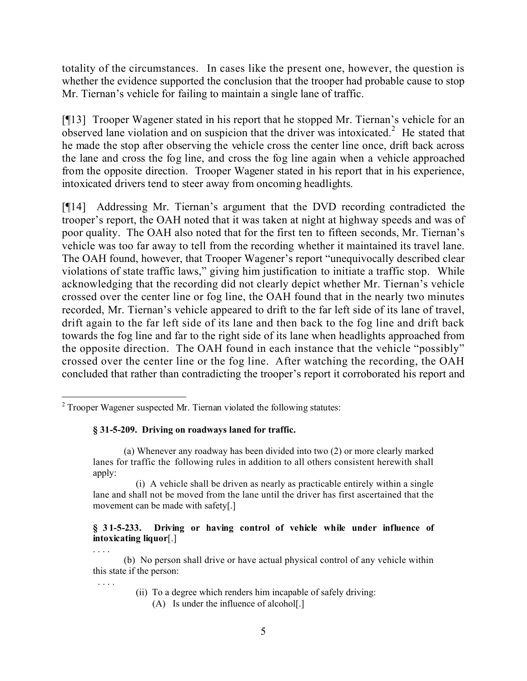totality of the circumstances. In cases like the present one, however, the question is whether the evidence supported the conclusion that the trooper had probable cause to stop Mr. Tiernan's vehicle for failing to maintain a single lane of traffic.

[¶13] Trooper Wagener stated in his report that he stopped Mr. Tiernan's vehicle for an observed lane violation and on suspicion that the driver was intoxicated.<sup>2</sup> He stated that he made the stop after observing the vehicle cross the center line once, drift back across the lane and cross the fog line, and cross the fog line again when a vehicle approached from the opposite direction. Trooper Wagener stated in his report that in his experience, intoxicated drivers tend to steer away from oncoming headlights.

[¶14] Addressing Mr. Tiernan's argument that the DVD recording contradicted the trooper's report, the OAH noted that it was taken at night at highway speeds and was of poor quality. The OAH also noted that for the first ten to fifteen seconds, Mr. Tiernan's vehicle was too far away to tell from the recording whether it maintained its travel lane. The OAH found, however, that Trooper Wagener's report "unequivocally described clear violations of state traffic laws," giving him justification to initiate a traffic stop. While acknowledging that the recording did not clearly depict whether Mr. Tiernan's vehicle crossed over the center line or fog line, the OAH found that in the nearly two minutes recorded, Mr. Tiernan's vehicle appeared to drift to the far left side of its lane of travel, drift again to the far left side of its lane and then back to the fog line and drift back towards the fog line and far to the right side of its lane when headlights approached from the opposite direction. The OAH found in each instance that the vehicle "possibly" crossed over the center line or the fog line. After watching the recording, the OAH concluded that rather than contradicting the trooper's report it corroborated his report and

### **§ 31-5-209. Driving on roadways laned for traffic.**

### **§ 31-5-233. Driving or having control of vehicle while under influence of intoxicating liquor**[.]

. . . . (b) No person shall drive or have actual physical control of any vehicle within this state if the person:

. . . .

- (ii) To a degree which renders him incapable of safely driving:
	- (A) Is under the influence of alcohol[.]

 $\overline{a}$  $2$  Trooper Wagener suspected Mr. Tiernan violated the following statutes:

<sup>(</sup>a) Whenever any roadway has been divided into two (2) or more clearly marked lanes for traffic the following rules in addition to all others consistent herewith shall apply:

 <sup>(</sup>i) A vehicle shall be driven as nearly as practicable entirely within a single lane and shall not be moved from the lane until the driver has first ascertained that the movement can be made with safety[.]